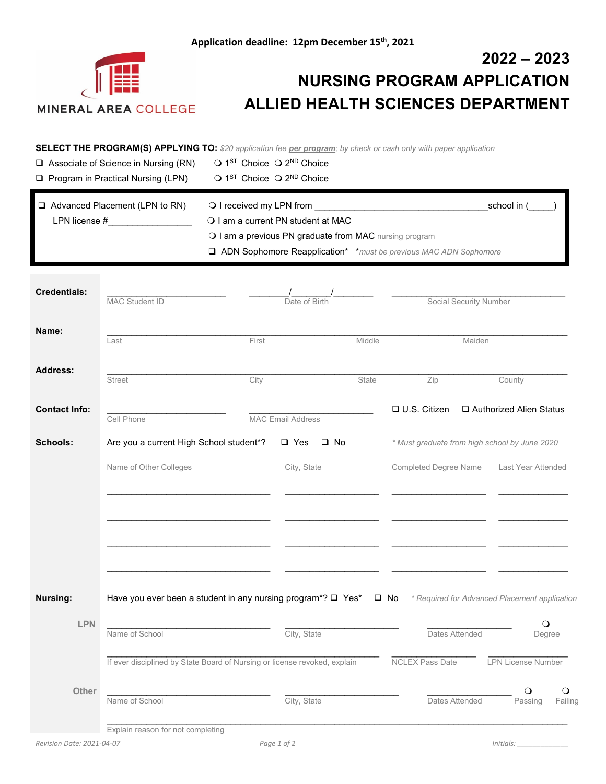

## **2022 – 2023 NURSING PROGRAM APPLICATION ALLIED HEALTH SCIENCES DEPARTMENT**

**SELECT THE PROGRAM(S) APPLYING TO:** *\$20 application fee per program; by check or cash only with paper application*

| $\Box$ Associate of Science in Nursing (RN) |  | $\bigcirc$ 1 <sup>ST</sup> Choice $\bigcirc$ 2 <sup>ND</sup> Choice |
|---------------------------------------------|--|---------------------------------------------------------------------|
| $\Box$ Program in Practical Nursing (LPN)   |  | $\bigcirc$ 1 <sup>ST</sup> Choice $\bigcirc$ 2 <sup>ND</sup> Choice |

| $\Box$ Advanced Placement (LPN to RN) | O I received my LPN from                                                                                                                        | school in ( |  |
|---------------------------------------|-------------------------------------------------------------------------------------------------------------------------------------------------|-------------|--|
| LPN license #                         | O I am a current PN student at MAC                                                                                                              |             |  |
|                                       | O I am a previous PN graduate from MAC nursing program<br><b>Q</b> ADN Sophomore Reapplication <sup>*</sup> *must be previous MAC ADN Sophomore |             |  |
|                                       |                                                                                                                                                 |             |  |

| <b>Credentials:</b>       | MAC Student ID<br>Date of Birth                                           |                          | Social Security Number |                        |                                               |
|---------------------------|---------------------------------------------------------------------------|--------------------------|------------------------|------------------------|-----------------------------------------------|
| Name:                     | Last                                                                      | First                    | Middle                 |                        | Maiden                                        |
| <b>Address:</b>           | <b>Street</b>                                                             | City                     | State                  | Zip                    | County                                        |
| <b>Contact Info:</b>      | Cell Phone                                                                | <b>MAC Email Address</b> |                        | □ U.S. Citizen         | Authorized Alien Status                       |
| <b>Schools:</b>           | Are you a current High School student*?                                   | $\Box$ Yes               | $\square$ No           |                        | * Must graduate from high school by June 2020 |
|                           | Name of Other Colleges                                                    | City, State              |                        | Completed Degree Name  | Last Year Attended                            |
|                           |                                                                           |                          |                        |                        |                                               |
|                           |                                                                           |                          |                        |                        |                                               |
|                           |                                                                           |                          |                        |                        |                                               |
|                           |                                                                           |                          |                        |                        |                                               |
| <b>Nursing:</b>           | Have you ever been a student in any nursing program*? □ Yes*              |                          |                        | $\square$ No           | * Required for Advanced Placement application |
| <b>LPN</b>                |                                                                           |                          |                        |                        | $\bigcirc$                                    |
|                           | Name of School                                                            | City, State              |                        | Dates Attended         | Degree                                        |
|                           | If ever disciplined by State Board of Nursing or license revoked, explain |                          |                        | <b>NCLEX Pass Date</b> | <b>LPN License Number</b>                     |
| Other                     | Name of School                                                            | City, State              |                        | Dates Attended         | ∩<br>O<br>Passing<br>Failing                  |
| Revision Date: 2021-04-07 | Explain reason for not completing                                         |                          |                        |                        |                                               |
|                           |                                                                           | Page 1 of 2              |                        |                        | Initials:                                     |